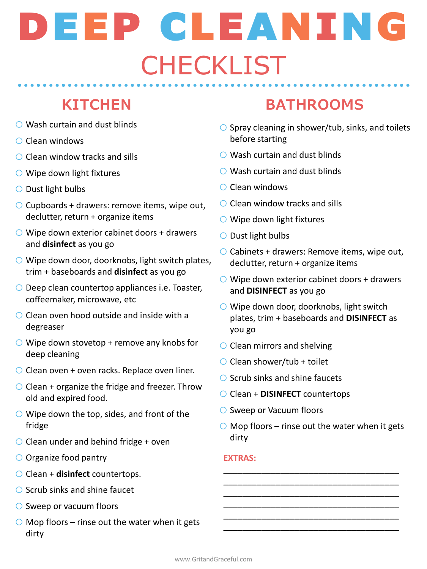- $\bigcirc$  Wash curtain and dust blinds
- o Clean windows
- $\bigcirc$  Clean window tracks and sills
- $\bigcirc$  Wipe down light fixtures
- o Dust light bulbs
- $\bigcirc$  Cupboards + drawers: remove items, wipe out, declutter, return + organize items
- $\bigcirc$  Wipe down exterior cabinet doors + drawers and **disinfect** as you go
- $\bigcirc$  Wipe down door, doorknobs, light switch plates, trim + baseboards and **disinfect** as you go
- $\bigcirc$  Deep clean countertop appliances i.e. Toaster, coffeemaker, microwave, etc
- $\bigcirc$  Clean oven hood outside and inside with a degreaser
- $\bigcirc$  Wipe down stovetop + remove any knobs for deep cleaning
- $\bigcirc$  Clean oven + oven racks. Replace oven liner.
- $\bigcirc$  Clean + organize the fridge and freezer. Throw old and expired food.
- $\bigcirc$  Wipe down the top, sides, and front of the fridge
- $\bigcirc$  Clean under and behind fridge + oven
- O Organize food pantry
- o Clean + **disinfect** countertops.
- $\bigcirc$  Scrub sinks and shine faucet
- $\bigcirc$  Sweep or vacuum floors
- $\bigcirc$  Mop floors rinse out the water when it gets dirty

# **KITCHEN BATHROOMS**

- $\circ$  Spray cleaning in shower/tub, sinks, and toilets before starting
- $\bigcirc$  Wash curtain and dust blinds
- $\bigcirc$  Wash curtain and dust blinds
- o Clean windows
- $\bigcirc$  Clean window tracks and sills
- $\bigcirc$  Wipe down light fixtures
- $\bigcirc$  Dust light bulbs
- $\bigcirc$  Cabinets + drawers: Remove items, wipe out, declutter, return + organize items
- $\bigcirc$  Wipe down exterior cabinet doors + drawers and **DISINFECT** as you go
- $\bigcirc$  Wipe down door, doorknobs, light switch plates, trim + baseboards and **DISINFECT** as you go
- $\bigcirc$  Clean mirrors and shelving
- $\bigcirc$  Clean shower/tub + toilet
- $\bigcirc$  Scrub sinks and shine faucets
- o Clean + **DISINFECT** countertops
- **○** Sweep or Vacuum floors
- $\bigcirc$  Mop floors rinse out the water when it gets dirty

\_\_\_\_\_\_\_\_\_\_\_\_\_\_\_\_\_\_\_\_\_\_\_\_\_\_\_\_\_\_\_\_\_\_\_\_\_ \_\_\_\_\_\_\_\_\_\_\_\_\_\_\_\_\_\_\_\_\_\_\_\_\_\_\_\_\_\_\_\_\_\_\_\_\_ \_\_\_\_\_\_\_\_\_\_\_\_\_\_\_\_\_\_\_\_\_\_\_\_\_\_\_\_\_\_\_\_\_\_\_\_\_ \_\_\_\_\_\_\_\_\_\_\_\_\_\_\_\_\_\_\_\_\_\_\_\_\_\_\_\_\_\_\_\_\_\_\_\_\_ \_\_\_\_\_\_\_\_\_\_\_\_\_\_\_\_\_\_\_\_\_\_\_\_\_\_\_\_\_\_\_\_\_\_\_\_\_ \_\_\_\_\_\_\_\_\_\_\_\_\_\_\_\_\_\_\_\_\_\_\_\_\_\_\_\_\_\_\_\_\_\_\_\_\_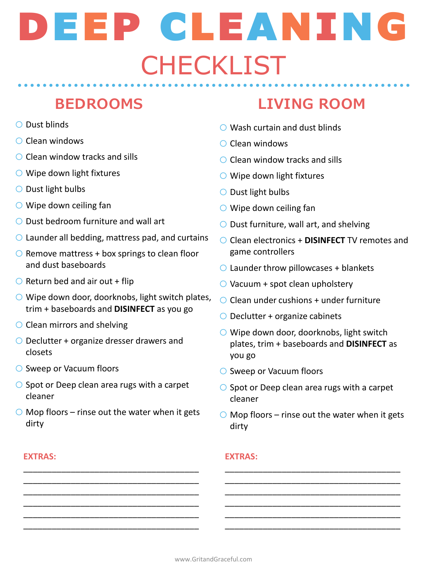- o Dust blinds
- o Clean windows
- $\bigcirc$  Clean window tracks and sills
- $\bigcirc$  Wipe down light fixtures
- o Dust light bulbs
- $\bigcirc$  Wipe down ceiling fan
- o Dust bedroom furniture and wall art
- $\bigcirc$  Launder all bedding, mattress pad, and curtains
- $\circ$  Remove mattress + box springs to clean floor and dust baseboards
- $\bigcirc$  Return bed and air out + flip
- $\circ$  Wipe down door, doorknobs, light switch plates, trim + baseboards and **DISINFECT** as you go
- $\bigcirc$  Clean mirrors and shelving
- o Declutter + organize dresser drawers and closets
- o Sweep or Vacuum floors
- $\bigcirc$  Spot or Deep clean area rugs with a carpet cleaner
- $\bigcirc$  Mop floors rinse out the water when it gets dirty

\_\_\_\_\_\_\_\_\_\_\_\_\_\_\_\_\_\_\_\_\_\_\_\_\_\_\_\_\_\_\_\_\_\_\_\_\_ \_\_\_\_\_\_\_\_\_\_\_\_\_\_\_\_\_\_\_\_\_\_\_\_\_\_\_\_\_\_\_\_\_\_\_\_\_ \_\_\_\_\_\_\_\_\_\_\_\_\_\_\_\_\_\_\_\_\_\_\_\_\_\_\_\_\_\_\_\_\_\_\_\_\_ \_\_\_\_\_\_\_\_\_\_\_\_\_\_\_\_\_\_\_\_\_\_\_\_\_\_\_\_\_\_\_\_\_\_\_\_\_ \_\_\_\_\_\_\_\_\_\_\_\_\_\_\_\_\_\_\_\_\_\_\_\_\_\_\_\_\_\_\_\_\_\_\_\_\_ \_\_\_\_\_\_\_\_\_\_\_\_\_\_\_\_\_\_\_\_\_\_\_\_\_\_\_\_\_\_\_\_\_\_\_\_\_

### **EXTRAS:**

# **BEDROOMS LIVING ROOM**

- $\bigcirc$  Wash curtain and dust blinds
- o Clean windows
- $\bigcirc$  Clean window tracks and sills
- $\bigcirc$  Wipe down light fixtures
- o Dust light bulbs
- $\bigcirc$  Wipe down ceiling fan
- $\bigcirc$  Dust furniture, wall art, and shelving
- o Clean electronics + **DISINFECT** TV remotes and game controllers
- $\bigcirc$  Launder throw pillowcases + blankets
- $\bigcirc$  Vacuum + spot clean upholstery
- $\bigcirc$  Clean under cushions + under furniture
- $\bigcirc$  Declutter + organize cabinets
- $\bigcirc$  Wipe down door, doorknobs, light switch plates, trim + baseboards and **DISINFECT** as you go
- o Sweep or Vacuum floors
- $\bigcirc$  Spot or Deep clean area rugs with a carpet cleaner
- $\bigcirc$  Mop floors rinse out the water when it gets dirty

\_\_\_\_\_\_\_\_\_\_\_\_\_\_\_\_\_\_\_\_\_\_\_\_\_\_\_\_\_\_\_\_\_\_\_\_\_ \_\_\_\_\_\_\_\_\_\_\_\_\_\_\_\_\_\_\_\_\_\_\_\_\_\_\_\_\_\_\_\_\_\_\_\_\_ \_\_\_\_\_\_\_\_\_\_\_\_\_\_\_\_\_\_\_\_\_\_\_\_\_\_\_\_\_\_\_\_\_\_\_\_\_ \_\_\_\_\_\_\_\_\_\_\_\_\_\_\_\_\_\_\_\_\_\_\_\_\_\_\_\_\_\_\_\_\_\_\_\_\_ \_\_\_\_\_\_\_\_\_\_\_\_\_\_\_\_\_\_\_\_\_\_\_\_\_\_\_\_\_\_\_\_\_\_\_\_\_ \_\_\_\_\_\_\_\_\_\_\_\_\_\_\_\_\_\_\_\_\_\_\_\_\_\_\_\_\_\_\_\_\_\_\_\_\_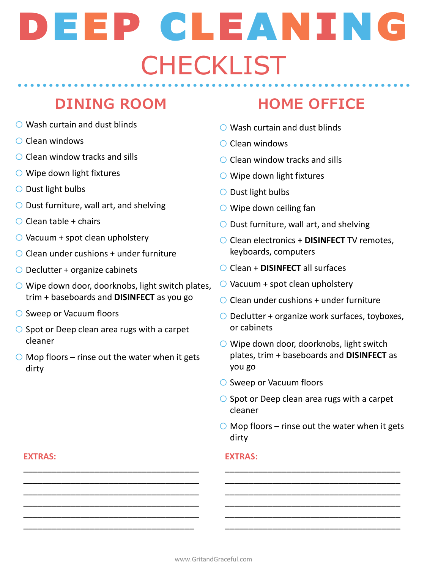## **DINING ROOM HOME OFFICE**

- $\bigcirc$  Wash curtain and dust blinds
- o Clean windows
- $\bigcirc$  Clean window tracks and sills
- $\bigcirc$  Wipe down light fixtures
- o Dust light bulbs
- $\bigcirc$  Dust furniture, wall art, and shelving
- $\bigcirc$  Clean table + chairs
- $\bigcirc$  Vacuum + spot clean upholstery
- $\bigcirc$  Clean under cushions + under furniture
- $\bigcirc$  Declutter + organize cabinets
- $\bigcirc$  Wipe down door, doorknobs, light switch plates, trim + baseboards and **DISINFECT** as you go
- o Sweep or Vacuum floors
- $\circ$  Spot or Deep clean area rugs with a carpet cleaner
- $\bigcirc$  Mop floors rinse out the water when it gets dirty

\_\_\_\_\_\_\_\_\_\_\_\_\_\_\_\_\_\_\_\_\_\_\_\_\_\_\_\_\_\_\_\_\_\_\_\_\_ \_\_\_\_\_\_\_\_\_\_\_\_\_\_\_\_\_\_\_\_\_\_\_\_\_\_\_\_\_\_\_\_\_\_\_\_\_ \_\_\_\_\_\_\_\_\_\_\_\_\_\_\_\_\_\_\_\_\_\_\_\_\_\_\_\_\_\_\_\_\_\_\_\_\_ \_\_\_\_\_\_\_\_\_\_\_\_\_\_\_\_\_\_\_\_\_\_\_\_\_\_\_\_\_\_\_\_\_\_\_\_\_ \_\_\_\_\_\_\_\_\_\_\_\_\_\_\_\_\_\_\_\_\_\_\_\_\_\_\_\_\_\_\_\_\_\_\_\_\_ \_\_\_\_\_\_\_\_\_\_\_\_\_\_\_\_\_\_\_\_\_\_\_\_\_\_\_\_\_\_\_\_\_\_\_\_

- $\bigcirc$  Wash curtain and dust blinds
- o Clean windows
- $\bigcirc$  Clean window tracks and sills
- $\bigcirc$  Wipe down light fixtures
- o Dust light bulbs
- $\bigcirc$  Wipe down ceiling fan
- $\bigcirc$  Dust furniture, wall art, and shelving
- o Clean electronics + **DISINFECT** TV remotes, keyboards, computers
- o Clean + **DISINFECT** all surfaces
- $\bigcirc$  Vacuum + spot clean upholstery
- $\bigcirc$  Clean under cushions + under furniture
- $\bigcirc$  Declutter + organize work surfaces, toyboxes, or cabinets
- $\bigcirc$  Wipe down door, doorknobs, light switch plates, trim + baseboards and **DISINFECT** as you go
- o Sweep or Vacuum floors
- $\bigcirc$  Spot or Deep clean area rugs with a carpet cleaner
- $\bigcirc$  Mop floors rinse out the water when it gets dirty

\_\_\_\_\_\_\_\_\_\_\_\_\_\_\_\_\_\_\_\_\_\_\_\_\_\_\_\_\_\_\_\_\_\_\_\_\_ \_\_\_\_\_\_\_\_\_\_\_\_\_\_\_\_\_\_\_\_\_\_\_\_\_\_\_\_\_\_\_\_\_\_\_\_\_ \_\_\_\_\_\_\_\_\_\_\_\_\_\_\_\_\_\_\_\_\_\_\_\_\_\_\_\_\_\_\_\_\_\_\_\_\_ \_\_\_\_\_\_\_\_\_\_\_\_\_\_\_\_\_\_\_\_\_\_\_\_\_\_\_\_\_\_\_\_\_\_\_\_\_ \_\_\_\_\_\_\_\_\_\_\_\_\_\_\_\_\_\_\_\_\_\_\_\_\_\_\_\_\_\_\_\_\_\_\_\_\_ \_\_\_\_\_\_\_\_\_\_\_\_\_\_\_\_\_\_\_\_\_\_\_\_\_\_\_\_\_\_\_\_\_\_\_\_\_

## **EXTRAS:**